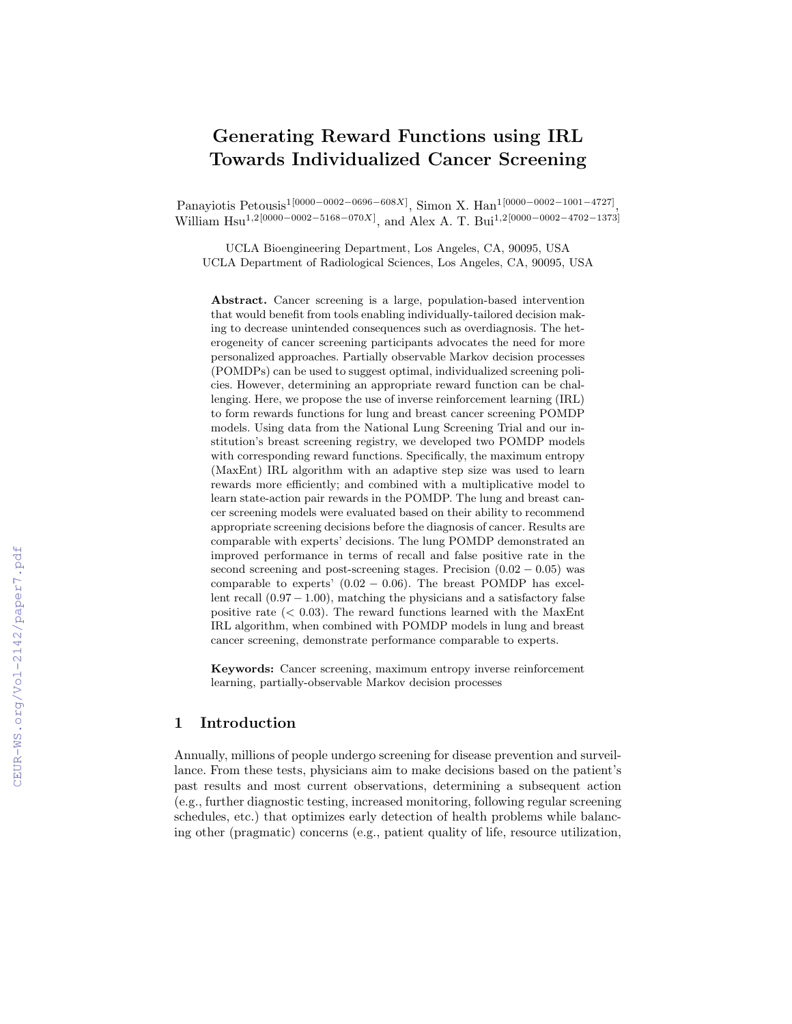# Generating Reward Functions using IRL Towards Individualized Cancer Screening

Panayiotis Petousis<sup>1</sup><sup>[0000–0002–0696–608X]</sup>, Simon X. Han<sup>1</sup><sup>[0000–0002–1001–4727]</sup> , William Hsu<sup>1,2</sup>[0000−0002−5168−070X], and Alex A. T. Bui<sup>1,2</sup>[0000−0002−4702−1373]

UCLA Bioengineering Department, Los Angeles, CA, 90095, USA UCLA Department of Radiological Sciences, Los Angeles, CA, 90095, USA

Abstract. Cancer screening is a large, population-based intervention that would benefit from tools enabling individually-tailored decision making to decrease unintended consequences such as overdiagnosis. The heterogeneity of cancer screening participants advocates the need for more personalized approaches. Partially observable Markov decision processes (POMDPs) can be used to suggest optimal, individualized screening policies. However, determining an appropriate reward function can be challenging. Here, we propose the use of inverse reinforcement learning (IRL) to form rewards functions for lung and breast cancer screening POMDP models. Using data from the National Lung Screening Trial and our institution's breast screening registry, we developed two POMDP models with corresponding reward functions. Specifically, the maximum entropy (MaxEnt) IRL algorithm with an adaptive step size was used to learn rewards more efficiently; and combined with a multiplicative model to learn state-action pair rewards in the POMDP. The lung and breast cancer screening models were evaluated based on their ability to recommend appropriate screening decisions before the diagnosis of cancer. Results are comparable with experts' decisions. The lung POMDP demonstrated an improved performance in terms of recall and false positive rate in the second screening and post-screening stages. Precision  $(0.02 - 0.05)$  was comparable to experts'  $(0.02 - 0.06)$ . The breast POMDP has excellent recall  $(0.97 - 1.00)$ , matching the physicians and a satisfactory false positive rate  $( $0.03$ ). The reward functions learned with the MaxEnt$ IRL algorithm, when combined with POMDP models in lung and breast cancer screening, demonstrate performance comparable to experts.

Keywords: Cancer screening, maximum entropy inverse reinforcement learning, partially-observable Markov decision processes

# 1 Introduction

Annually, millions of people undergo screening for disease prevention and surveillance. From these tests, physicians aim to make decisions based on the patient's past results and most current observations, determining a subsequent action (e.g., further diagnostic testing, increased monitoring, following regular screening schedules, etc.) that optimizes early detection of health problems while balancing other (pragmatic) concerns (e.g., patient quality of life, resource utilization,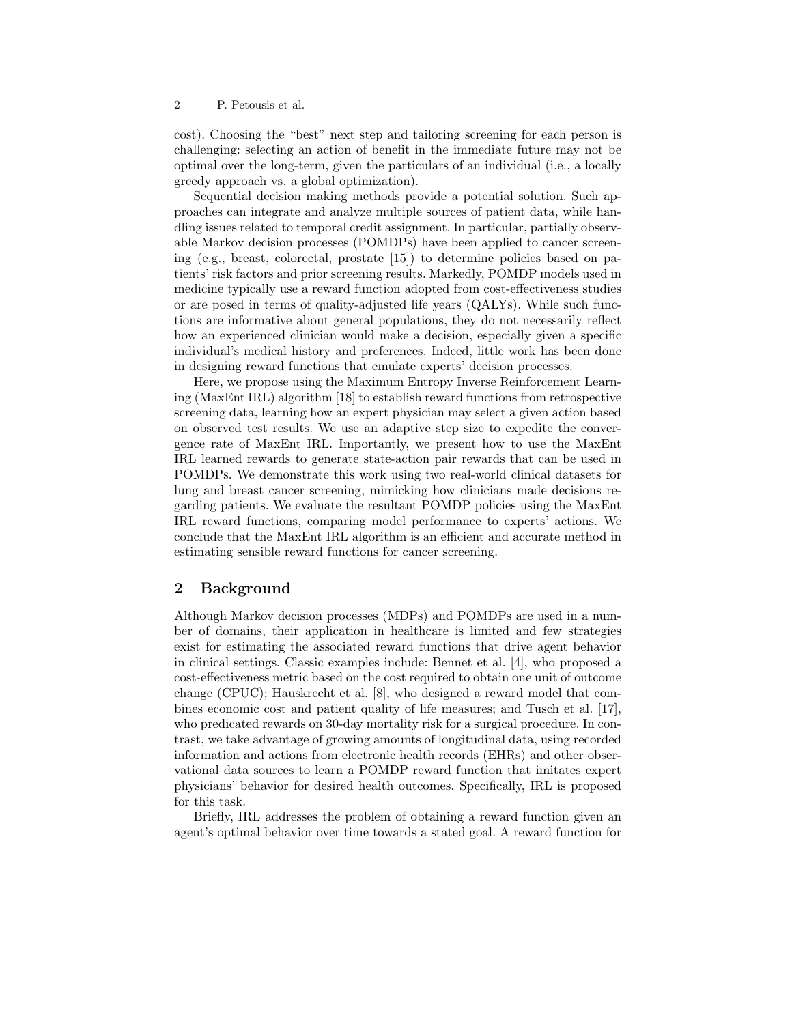cost). Choosing the "best" next step and tailoring screening for each person is challenging: selecting an action of benefit in the immediate future may not be optimal over the long-term, given the particulars of an individual (i.e., a locally greedy approach vs. a global optimization).

Sequential decision making methods provide a potential solution. Such approaches can integrate and analyze multiple sources of patient data, while handling issues related to temporal credit assignment. In particular, partially observable Markov decision processes (POMDPs) have been applied to cancer screening (e.g., breast, colorectal, prostate [\[15\]](#page-11-0)) to determine policies based on patients' risk factors and prior screening results. Markedly, POMDP models used in medicine typically use a reward function adopted from cost-effectiveness studies or are posed in terms of quality-adjusted life years (QALYs). While such functions are informative about general populations, they do not necessarily reflect how an experienced clinician would make a decision, especially given a specific individual's medical history and preferences. Indeed, little work has been done in designing reward functions that emulate experts' decision processes.

Here, we propose using the Maximum Entropy Inverse Reinforcement Learning (MaxEnt IRL) algorithm [\[18\]](#page-11-1) to establish reward functions from retrospective screening data, learning how an expert physician may select a given action based on observed test results. We use an adaptive step size to expedite the convergence rate of MaxEnt IRL. Importantly, we present how to use the MaxEnt IRL learned rewards to generate state-action pair rewards that can be used in POMDPs. We demonstrate this work using two real-world clinical datasets for lung and breast cancer screening, mimicking how clinicians made decisions regarding patients. We evaluate the resultant POMDP policies using the MaxEnt IRL reward functions, comparing model performance to experts' actions. We conclude that the MaxEnt IRL algorithm is an efficient and accurate method in estimating sensible reward functions for cancer screening.

# 2 Background

Although Markov decision processes (MDPs) and POMDPs are used in a number of domains, their application in healthcare is limited and few strategies exist for estimating the associated reward functions that drive agent behavior in clinical settings. Classic examples include: Bennet et al. [\[4\]](#page-11-2), who proposed a cost-effectiveness metric based on the cost required to obtain one unit of outcome change (CPUC); Hauskrecht et al. [\[8\]](#page-11-3), who designed a reward model that combines economic cost and patient quality of life measures; and Tusch et al. [\[17\]](#page-11-4), who predicated rewards on 30-day mortality risk for a surgical procedure. In contrast, we take advantage of growing amounts of longitudinal data, using recorded information and actions from electronic health records (EHRs) and other observational data sources to learn a POMDP reward function that imitates expert physicians' behavior for desired health outcomes. Specifically, IRL is proposed for this task.

Briefly, IRL addresses the problem of obtaining a reward function given an agent's optimal behavior over time towards a stated goal. A reward function for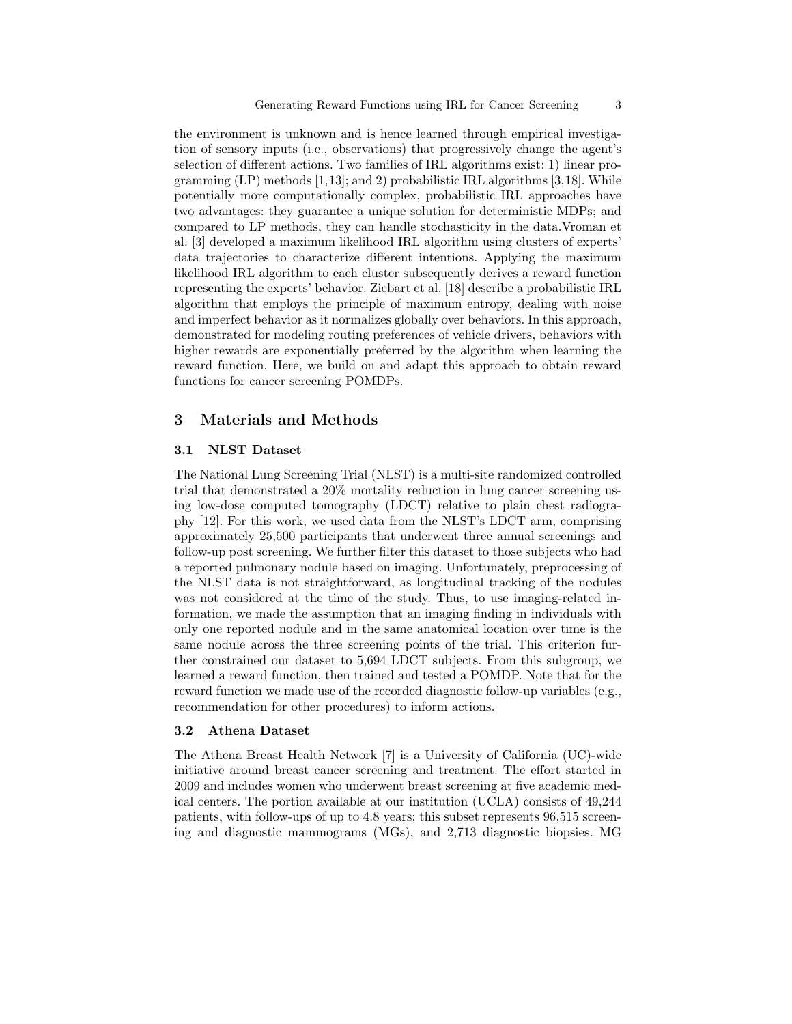the environment is unknown and is hence learned through empirical investigation of sensory inputs (i.e., observations) that progressively change the agent's selection of different actions. Two families of IRL algorithms exist: 1) linear programming  $(LP)$  methods  $[1,13]$  $[1,13]$ ; and 2) probabilistic IRL algorithms  $[3,18]$  $[3,18]$ . While potentially more computationally complex, probabilistic IRL approaches have two advantages: they guarantee a unique solution for deterministic MDPs; and compared to LP methods, they can handle stochasticity in the data.Vroman et al. [\[3\]](#page-11-6) developed a maximum likelihood IRL algorithm using clusters of experts' data trajectories to characterize different intentions. Applying the maximum likelihood IRL algorithm to each cluster subsequently derives a reward function representing the experts' behavior. Ziebart et al. [\[18\]](#page-11-1) describe a probabilistic IRL algorithm that employs the principle of maximum entropy, dealing with noise and imperfect behavior as it normalizes globally over behaviors. In this approach, demonstrated for modeling routing preferences of vehicle drivers, behaviors with higher rewards are exponentially preferred by the algorithm when learning the reward function. Here, we build on and adapt this approach to obtain reward functions for cancer screening POMDPs.

# 3 Materials and Methods

## 3.1 NLST Dataset

The National Lung Screening Trial (NLST) is a multi-site randomized controlled trial that demonstrated a 20% mortality reduction in lung cancer screening using low-dose computed tomography (LDCT) relative to plain chest radiography [\[12\]](#page-11-7). For this work, we used data from the NLST's LDCT arm, comprising approximately 25,500 participants that underwent three annual screenings and follow-up post screening. We further filter this dataset to those subjects who had a reported pulmonary nodule based on imaging. Unfortunately, preprocessing of the NLST data is not straightforward, as longitudinal tracking of the nodules was not considered at the time of the study. Thus, to use imaging-related information, we made the assumption that an imaging finding in individuals with only one reported nodule and in the same anatomical location over time is the same nodule across the three screening points of the trial. This criterion further constrained our dataset to 5,694 LDCT subjects. From this subgroup, we learned a reward function, then trained and tested a POMDP. Note that for the reward function we made use of the recorded diagnostic follow-up variables (e.g., recommendation for other procedures) to inform actions.

# 3.2 Athena Dataset

The Athena Breast Health Network [\[7\]](#page-11-8) is a University of California (UC)-wide initiative around breast cancer screening and treatment. The effort started in 2009 and includes women who underwent breast screening at five academic medical centers. The portion available at our institution (UCLA) consists of 49,244 patients, with follow-ups of up to 4.8 years; this subset represents 96,515 screening and diagnostic mammograms (MGs), and 2,713 diagnostic biopsies. MG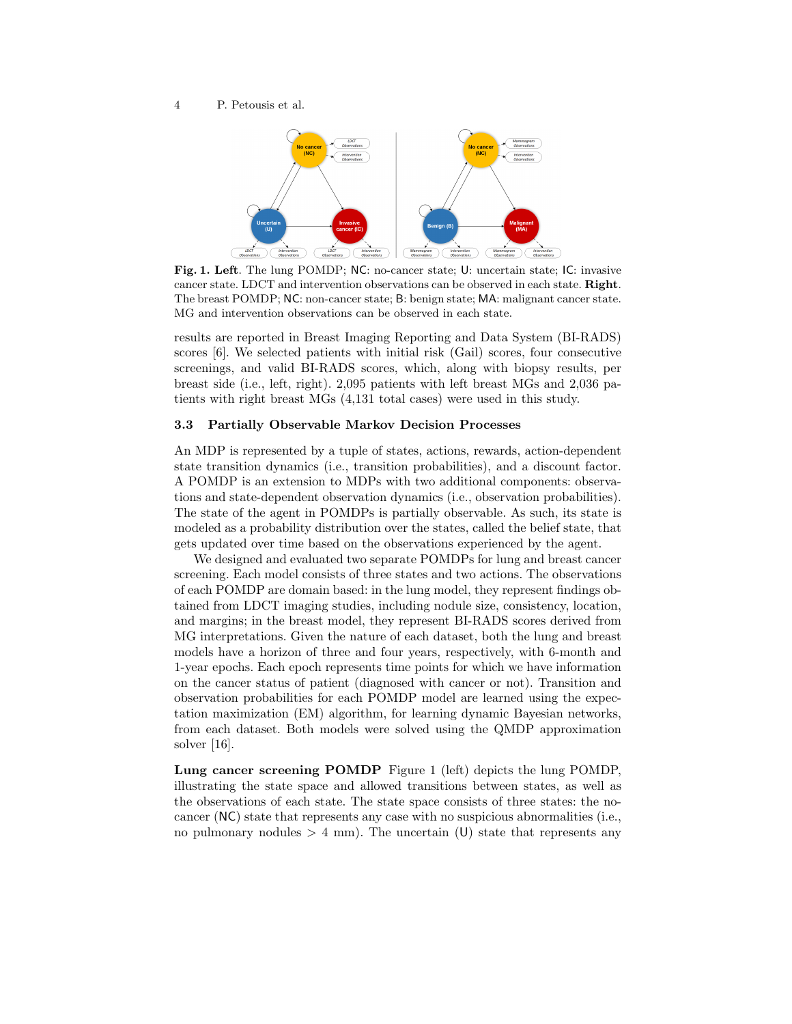

<span id="page-3-0"></span>Fig. 1. Left. The lung POMDP; NC: no-cancer state; U: uncertain state; IC: invasive cancer state. LDCT and intervention observations can be observed in each state. Right. The breast POMDP; NC: non-cancer state; B: benign state; MA: malignant cancer state. MG and intervention observations can be observed in each state.

results are reported in Breast Imaging Reporting and Data System (BI-RADS) scores [\[6\]](#page-11-9). We selected patients with initial risk (Gail) scores, four consecutive screenings, and valid BI-RADS scores, which, along with biopsy results, per breast side (i.e., left, right). 2,095 patients with left breast MGs and 2,036 patients with right breast MGs (4,131 total cases) were used in this study.

## 3.3 Partially Observable Markov Decision Processes

An MDP is represented by a tuple of states, actions, rewards, action-dependent state transition dynamics (i.e., transition probabilities), and a discount factor. A POMDP is an extension to MDPs with two additional components: observations and state-dependent observation dynamics (i.e., observation probabilities). The state of the agent in POMDPs is partially observable. As such, its state is modeled as a probability distribution over the states, called the belief state, that gets updated over time based on the observations experienced by the agent.

We designed and evaluated two separate POMDPs for lung and breast cancer screening. Each model consists of three states and two actions. The observations of each POMDP are domain based: in the lung model, they represent findings obtained from LDCT imaging studies, including nodule size, consistency, location, and margins; in the breast model, they represent BI-RADS scores derived from MG interpretations. Given the nature of each dataset, both the lung and breast models have a horizon of three and four years, respectively, with 6-month and 1-year epochs. Each epoch represents time points for which we have information on the cancer status of patient (diagnosed with cancer or not). Transition and observation probabilities for each POMDP model are learned using the expectation maximization (EM) algorithm, for learning dynamic Bayesian networks, from each dataset. Both models were solved using the QMDP approximation solver [\[16\]](#page-11-10).

Lung cancer screening POMDP Figure [1](#page-3-0) (left) depicts the lung POMDP, illustrating the state space and allowed transitions between states, as well as the observations of each state. The state space consists of three states: the nocancer (NC) state that represents any case with no suspicious abnormalities (i.e., no pulmonary nodules  $> 4$  mm). The uncertain (U) state that represents any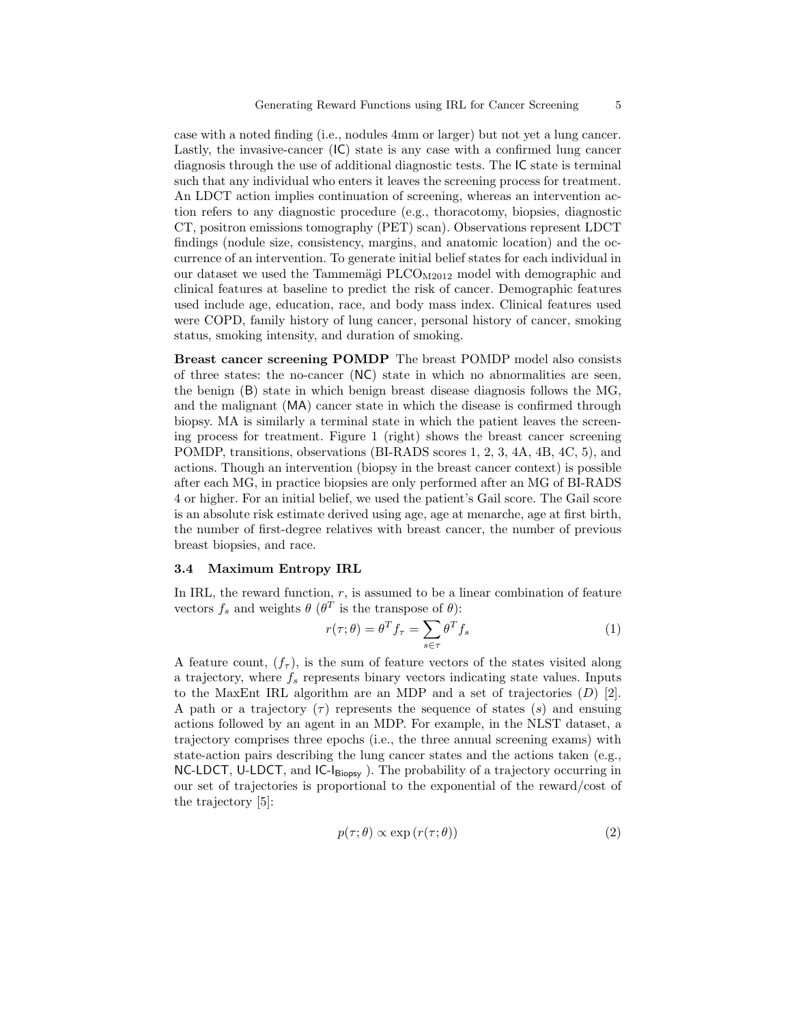case with a noted finding (i.e., nodules 4mm or larger) but not yet a lung cancer. Lastly, the invasive-cancer (IC) state is any case with a confirmed lung cancer diagnosis through the use of additional diagnostic tests. The IC state is terminal such that any individual who enters it leaves the screening process for treatment. An LDCT action implies continuation of screening, whereas an intervention action refers to any diagnostic procedure (e.g., thoracotomy, biopsies, diagnostic CT, positron emissions tomography (PET) scan). Observations represent LDCT findings (nodule size, consistency, margins, and anatomic location) and the occurrence of an intervention. To generate initial belief states for each individual in our dataset we used the Tammemägi  $PLCO_{M2012}$  model with demographic and clinical features at baseline to predict the risk of cancer. Demographic features used include age, education, race, and body mass index. Clinical features used were COPD, family history of lung cancer, personal history of cancer, smoking status, smoking intensity, and duration of smoking.

Breast cancer screening POMDP The breast POMDP model also consists of three states: the no-cancer (NC) state in which no abnormalities are seen, the benign (B) state in which benign breast disease diagnosis follows the MG, and the malignant (MA) cancer state in which the disease is confirmed through biopsy. MA is similarly a terminal state in which the patient leaves the screening process for treatment. Figure [1](#page-3-0) (right) shows the breast cancer screening POMDP, transitions, observations (BI-RADS scores 1, 2, 3, 4A, 4B, 4C, 5), and actions. Though an intervention (biopsy in the breast cancer context) is possible after each MG, in practice biopsies are only performed after an MG of BI-RADS 4 or higher. For an initial belief, we used the patient's Gail score. The Gail score is an absolute risk estimate derived using age, age at menarche, age at first birth, the number of first-degree relatives with breast cancer, the number of previous breast biopsies, and race.

## 3.4 Maximum Entropy IRL

In IRL, the reward function,  $r$ , is assumed to be a linear combination of feature vectors  $f_s$  and weights  $\theta$  ( $\theta^T$  is the transpose of  $\theta$ ):

$$
r(\tau;\theta) = \theta^T f_\tau = \sum_{s \in \tau} \theta^T f_s \tag{1}
$$

A feature count,  $(f_\tau)$ , is the sum of feature vectors of the states visited along a trajectory, where  $f_s$  represents binary vectors indicating state values. Inputs to the MaxEnt IRL algorithm are an MDP and a set of trajectories  $(D)$  [\[2\]](#page-11-11). A path or a trajectory  $(\tau)$  represents the sequence of states (s) and ensuing actions followed by an agent in an MDP. For example, in the NLST dataset, a trajectory comprises three epochs (i.e., the three annual screening exams) with state-action pairs describing the lung cancer states and the actions taken (e.g., NC-LDCT, U-LDCT, and  $IC-I_{\text{Biology}}$ ). The probability of a trajectory occurring in our set of trajectories is proportional to the exponential of the reward/cost of the trajectory [\[5\]](#page-11-12):

$$
p(\tau; \theta) \propto \exp\left(r(\tau; \theta)\right) \tag{2}
$$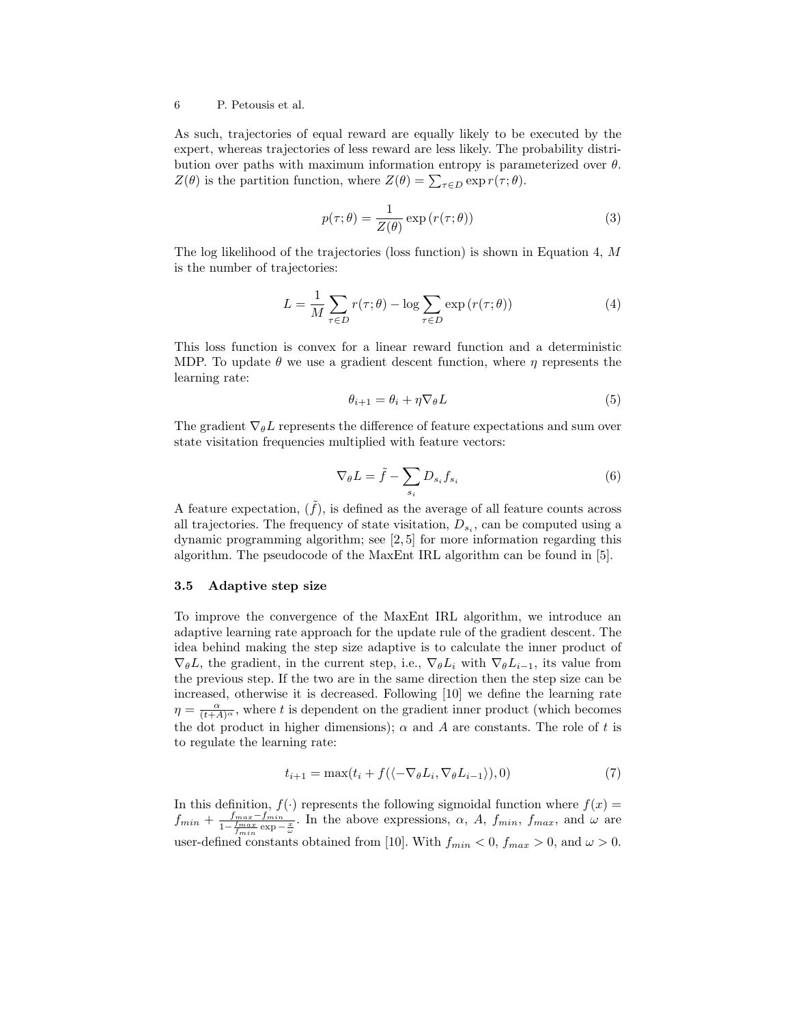As such, trajectories of equal reward are equally likely to be executed by the expert, whereas trajectories of less reward are less likely. The probability distribution over paths with maximum information entropy is parameterized over  $\theta$ .  $Z(\theta)$  is the partition function, where  $Z(\theta) = \sum_{\tau \in D} \exp r(\tau; \theta)$ .

$$
p(\tau;\theta) = \frac{1}{Z(\theta)} \exp(r(\tau;\theta))
$$
\n(3)

The log likelihood of the trajectories (loss function) is shown in Equation [4,](#page-5-0) M is the number of trajectories:

<span id="page-5-0"></span>
$$
L = \frac{1}{M} \sum_{\tau \in D} r(\tau; \theta) - \log \sum_{\tau \in D} \exp (r(\tau; \theta))
$$
 (4)

This loss function is convex for a linear reward function and a deterministic MDP. To update  $\theta$  we use a gradient descent function, where  $\eta$  represents the learning rate:

$$
\theta_{i+1} = \theta_i + \eta \nabla_{\theta} L \tag{5}
$$

The gradient  $\nabla_{\theta}L$  represents the difference of feature expectations and sum over state visitation frequencies multiplied with feature vectors:

$$
\nabla_{\theta}L = \tilde{f} - \sum_{s_i} D_{s_i} f_{s_i} \tag{6}
$$

A feature expectation,  $(\tilde{f})$ , is defined as the average of all feature counts across all trajectories. The frequency of state visitation,  $D_{s_i}$ , can be computed using a dynamic programming algorithm; see [\[2,](#page-11-11) [5\]](#page-11-12) for more information regarding this algorithm. The pseudocode of the MaxEnt IRL algorithm can be found in [\[5\]](#page-11-12).

#### 3.5 Adaptive step size

To improve the convergence of the MaxEnt IRL algorithm, we introduce an adaptive learning rate approach for the update rule of the gradient descent. The idea behind making the step size adaptive is to calculate the inner product of  $\nabla_{\theta}L$ , the gradient, in the current step, i.e.,  $\nabla_{\theta}L_i$  with  $\nabla_{\theta}L_{i-1}$ , its value from the previous step. If the two are in the same direction then the step size can be increased, otherwise it is decreased. Following [\[10\]](#page-11-13) we define the learning rate  $\eta = \frac{\alpha}{(t+A)^{\alpha}}$ , where t is dependent on the gradient inner product (which becomes the dot product in higher dimensions);  $\alpha$  and A are constants. The role of t is to regulate the learning rate:

$$
t_{i+1} = \max(t_i + f(\langle -\nabla_{\theta} L_i, \nabla_{\theta} L_{i-1} \rangle), 0)
$$
\n<sup>(7)</sup>

In this definition,  $f(\cdot)$  represents the following sigmoidal function where  $f(x) =$  $f_{min} + \frac{f_{max}-f_{min}}{1-f_{max}}$  $\frac{Imx-Tmin}{1-\frac{Imax}{Imin}}$  exp  $-\frac{x}{\omega}$ . In the above expressions, α, A,  $f_{min}$ ,  $f_{max}$ , and ω are user-defined constants obtained from [\[10\]](#page-11-13). With  $f_{min} < 0$ ,  $f_{max} > 0$ , and  $\omega > 0$ .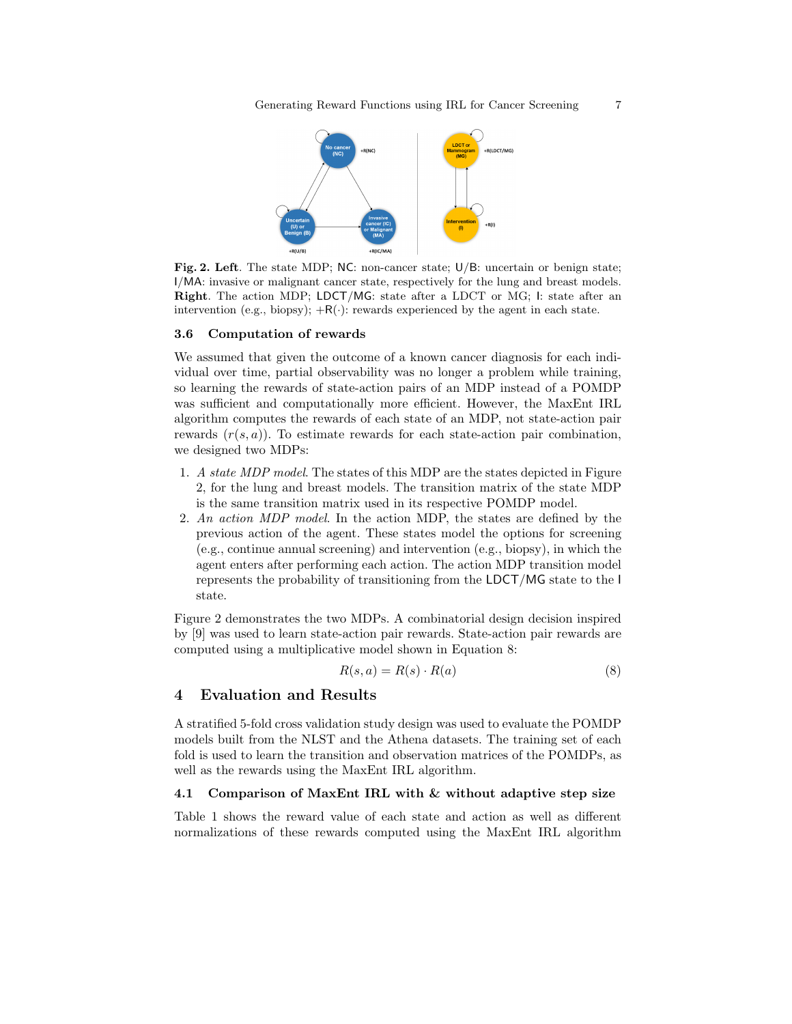

<span id="page-6-0"></span>Fig. 2. Left. The state MDP; NC: non-cancer state; U/B: uncertain or benign state; I/MA: invasive or malignant cancer state, respectively for the lung and breast models. Right. The action MDP; LDCT/MG: state after a LDCT or MG; I: state after an intervention (e.g., biopsy);  $+R(\cdot)$ : rewards experienced by the agent in each state.

## 3.6 Computation of rewards

We assumed that given the outcome of a known cancer diagnosis for each individual over time, partial observability was no longer a problem while training, so learning the rewards of state-action pairs of an MDP instead of a POMDP was sufficient and computationally more efficient. However, the MaxEnt IRL algorithm computes the rewards of each state of an MDP, not state-action pair rewards  $(r(s, a))$ . To estimate rewards for each state-action pair combination, we designed two MDPs:

- 1. A state MDP model. The states of this MDP are the states depicted in Figure [2,](#page-6-0) for the lung and breast models. The transition matrix of the state MDP is the same transition matrix used in its respective POMDP model.
- 2. An action MDP model. In the action MDP, the states are defined by the previous action of the agent. These states model the options for screening (e.g., continue annual screening) and intervention (e.g., biopsy), in which the agent enters after performing each action. The action MDP transition model represents the probability of transitioning from the LDCT/MG state to the I state.

Figure [2](#page-6-0) demonstrates the two MDPs. A combinatorial design decision inspired by [\[9\]](#page-11-14) was used to learn state-action pair rewards. State-action pair rewards are computed using a multiplicative model shown in Equation [8:](#page-6-1)

<span id="page-6-1"></span>
$$
R(s, a) = R(s) \cdot R(a) \tag{8}
$$

# 4 Evaluation and Results

A stratified 5-fold cross validation study design was used to evaluate the POMDP models built from the NLST and the Athena datasets. The training set of each fold is used to learn the transition and observation matrices of the POMDPs, as well as the rewards using the MaxEnt IRL algorithm.

#### 4.1 Comparison of MaxEnt IRL with & without adaptive step size

Table [1](#page-7-0) shows the reward value of each state and action as well as different normalizations of these rewards computed using the MaxEnt IRL algorithm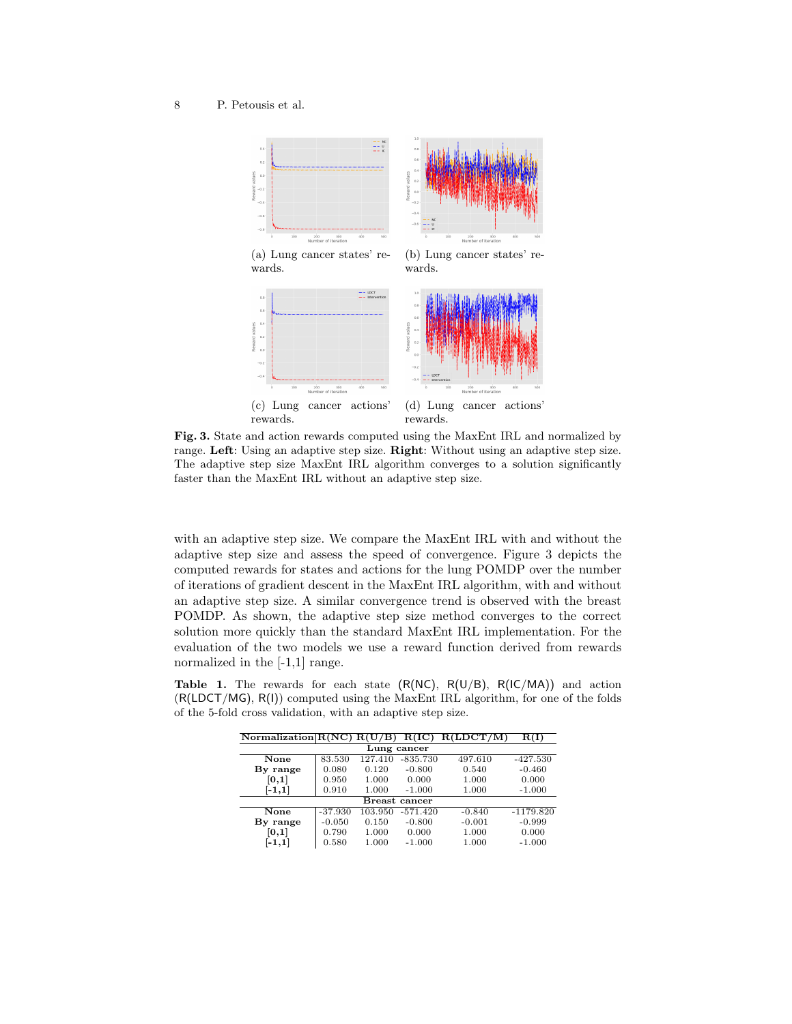

<span id="page-7-1"></span>Fig. 3. State and action rewards computed using the MaxEnt IRL and normalized by range. Left: Using an adaptive step size. Right: Without using an adaptive step size. The adaptive step size MaxEnt IRL algorithm converges to a solution significantly faster than the MaxEnt IRL without an adaptive step size.

with an adaptive step size. We compare the MaxEnt IRL with and without the adaptive step size and assess the speed of convergence. Figure [3](#page-7-1) depicts the computed rewards for states and actions for the lung POMDP over the number of iterations of gradient descent in the MaxEnt IRL algorithm, with and without an adaptive step size. A similar convergence trend is observed with the breast POMDP. As shown, the adaptive step size method converges to the correct solution more quickly than the standard MaxEnt IRL implementation. For the evaluation of the two models we use a reward function derived from rewards normalized in the [-1,1] range.

Table 1. The rewards for each state  $(R(NC), R(U/B), R(IC/MA))$  and action (R(LDCT/MG), R(I)) computed using the MaxEnt IRL algorithm, for one of the folds of the 5-fold cross validation, with an adaptive step size.

<span id="page-7-0"></span>

| Normalization $R(NC)$ $R(U/B)$ |           |         | R(IC)      | R(LDCT/M) | R(I)        |  |  |  |  |  |
|--------------------------------|-----------|---------|------------|-----------|-------------|--|--|--|--|--|
| Lung cancer                    |           |         |            |           |             |  |  |  |  |  |
| None                           | 83.530    | 127.410 | $-835.730$ | 497.610   | $-427.530$  |  |  |  |  |  |
| By range                       | 0.080     | 0.120   | $-0.800$   | 0.540     | $-0.460$    |  |  |  |  |  |
| [0,1]                          | 0.950     | 1.000   | 0.000      | 1.000     | 0.000       |  |  |  |  |  |
| $[-1,1]$                       | 0.910     | 1.000   | $-1.000$   | 1.000     | $-1.000$    |  |  |  |  |  |
| Breast cancer                  |           |         |            |           |             |  |  |  |  |  |
| None                           | $-37.930$ | 103.950 | $-571.420$ | $-0.840$  | $-1179.820$ |  |  |  |  |  |
| By range                       | $-0.050$  | 0.150   | $-0.800$   | $-0.001$  | $-0.999$    |  |  |  |  |  |
| [0,1]                          | 0.790     | 1.000   | 0.000      | 1.000     | 0.000       |  |  |  |  |  |
| $[-1,1]$                       | 0.580     | 1.000   | $-1.000$   | 1.000     | $-1.000$    |  |  |  |  |  |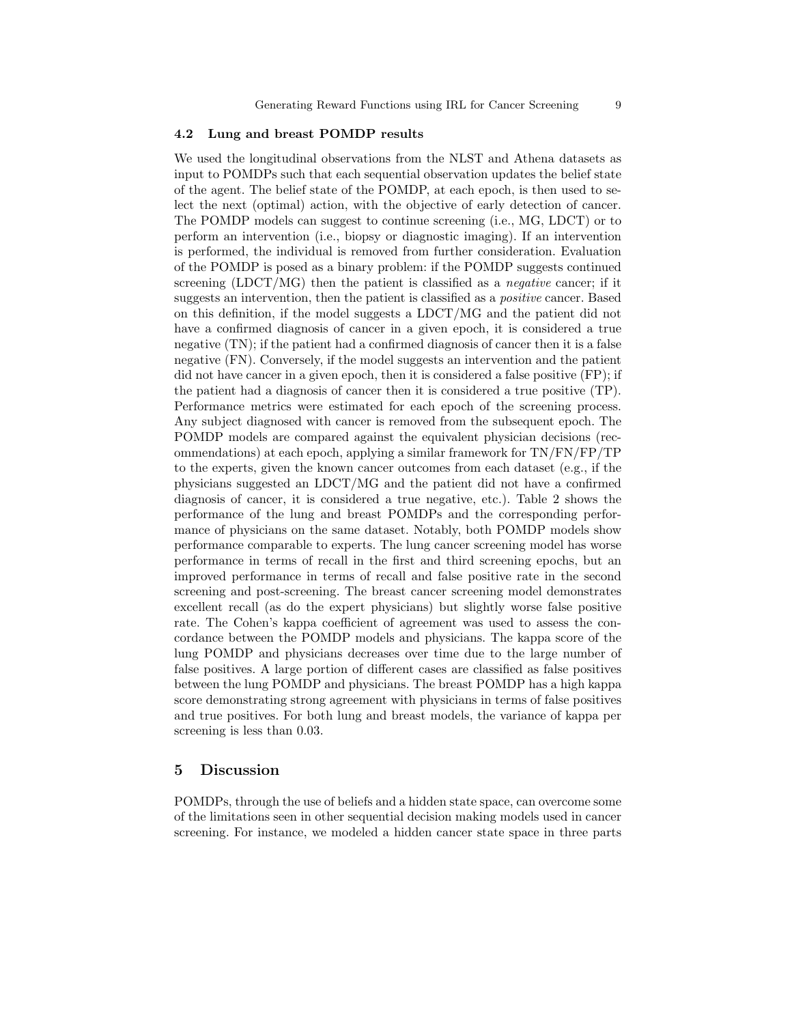## 4.2 Lung and breast POMDP results

We used the longitudinal observations from the NLST and Athena datasets as input to POMDPs such that each sequential observation updates the belief state of the agent. The belief state of the POMDP, at each epoch, is then used to select the next (optimal) action, with the objective of early detection of cancer. The POMDP models can suggest to continue screening (i.e., MG, LDCT) or to perform an intervention (i.e., biopsy or diagnostic imaging). If an intervention is performed, the individual is removed from further consideration. Evaluation of the POMDP is posed as a binary problem: if the POMDP suggests continued screening  $(LDCT/MG)$  then the patient is classified as a *negative* cancer; if it suggests an intervention, then the patient is classified as a positive cancer. Based on this definition, if the model suggests a LDCT/MG and the patient did not have a confirmed diagnosis of cancer in a given epoch, it is considered a true negative (TN); if the patient had a confirmed diagnosis of cancer then it is a false negative (FN). Conversely, if the model suggests an intervention and the patient did not have cancer in a given epoch, then it is considered a false positive (FP); if the patient had a diagnosis of cancer then it is considered a true positive (TP). Performance metrics were estimated for each epoch of the screening process. Any subject diagnosed with cancer is removed from the subsequent epoch. The POMDP models are compared against the equivalent physician decisions (recommendations) at each epoch, applying a similar framework for TN/FN/FP/TP to the experts, given the known cancer outcomes from each dataset (e.g., if the physicians suggested an LDCT/MG and the patient did not have a confirmed diagnosis of cancer, it is considered a true negative, etc.). Table [2](#page-9-0) shows the performance of the lung and breast POMDPs and the corresponding performance of physicians on the same dataset. Notably, both POMDP models show performance comparable to experts. The lung cancer screening model has worse performance in terms of recall in the first and third screening epochs, but an improved performance in terms of recall and false positive rate in the second screening and post-screening. The breast cancer screening model demonstrates excellent recall (as do the expert physicians) but slightly worse false positive rate. The Cohen's kappa coefficient of agreement was used to assess the concordance between the POMDP models and physicians. The kappa score of the lung POMDP and physicians decreases over time due to the large number of false positives. A large portion of different cases are classified as false positives between the lung POMDP and physicians. The breast POMDP has a high kappa score demonstrating strong agreement with physicians in terms of false positives and true positives. For both lung and breast models, the variance of kappa per screening is less than 0.03.

# 5 Discussion

POMDPs, through the use of beliefs and a hidden state space, can overcome some of the limitations seen in other sequential decision making models used in cancer screening. For instance, we modeled a hidden cancer state space in three parts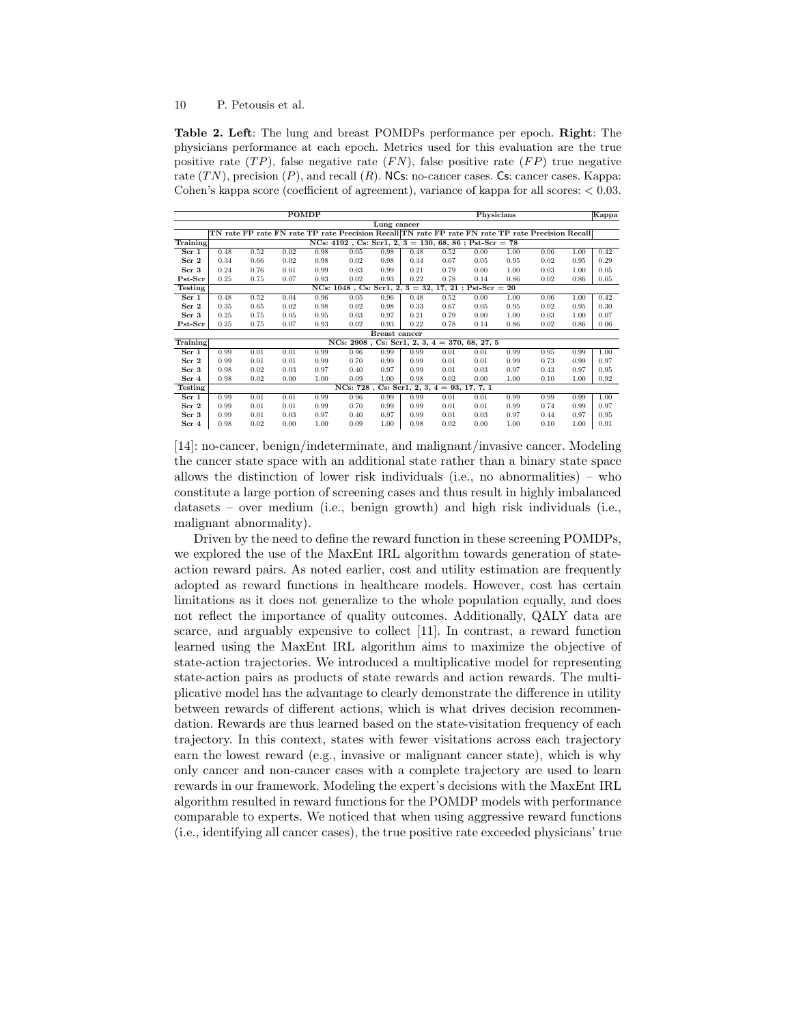<span id="page-9-0"></span>Table 2. Left: The lung and breast POMDPs performance per epoch. Right: The physicians performance at each epoch. Metrics used for this evaluation are the true positive rate  $(TP)$ , false negative rate  $(FN)$ , false positive rate  $(FP)$  true negative rate  $(TN)$ , precision  $(P)$ , and recall  $(R)$ . NCs: no-cancer cases. Cs: cancer cases. Kappa: Cohen's kappa score (coefficient of agreement), variance of kappa for all scores: < 0.03.

|                                                                      | <b>POMDP</b>                                             |                                                      |      |                                                                                                   |      |      | Physicians |      |                                                 |      |      |      | Kappa |
|----------------------------------------------------------------------|----------------------------------------------------------|------------------------------------------------------|------|---------------------------------------------------------------------------------------------------|------|------|------------|------|-------------------------------------------------|------|------|------|-------|
| Lung cancer                                                          |                                                          |                                                      |      |                                                                                                   |      |      |            |      |                                                 |      |      |      |       |
|                                                                      |                                                          |                                                      |      | TN rate FP rate FN rate TP rate Precision Recall TN rate FP rate FN rate TP rate Precision Recall |      |      |            |      |                                                 |      |      |      |       |
| NCs: $4192$ , Cs: Scr1, 2, 3 = 130, 68, 86; Pst-Scr = 78<br>Training |                                                          |                                                      |      |                                                                                                   |      |      |            |      |                                                 |      |      |      |       |
| Scr 1                                                                | 0.48                                                     | 0.52                                                 | 0.02 | 0.98                                                                                              | 0.05 | 0.98 | 0.48       | 0.52 | 0.00                                            | 1.00 | 0.06 | 1.00 | 0.42  |
| Scr 2                                                                | 0.34                                                     | 0.66                                                 | 0.02 | 0.98                                                                                              | 0.02 | 0.98 | 0.34       | 0.67 | 0.05                                            | 0.95 | 0.02 | 0.95 | 0.29  |
| Scr 3                                                                | 0.24                                                     | 0.76                                                 | 0.01 | 0.99                                                                                              | 0.03 | 0.99 | 0.21       | 0.79 | 0.00                                            | 1.00 | 0.03 | 1.00 | 0.05  |
| Pst-Scr                                                              | 0.25                                                     | 0.75                                                 | 0.07 | 0.93                                                                                              | 0.02 | 0.93 | 0.22       | 0.78 | 0.14                                            | 0.86 | 0.02 | 0.86 | 0.05  |
| Testing                                                              |                                                          | NCs: 1048, Cs: Scr1, 2, 3 = 32, 17, 21; Pst-Scr = 20 |      |                                                                                                   |      |      |            |      |                                                 |      |      |      |       |
| Scr 1                                                                | 0.48                                                     | 0.52                                                 | 0.04 | 0.96                                                                                              | 0.05 | 0.96 | 0.48       | 0.52 | 0.00                                            | 1.00 | 0.06 | 1.00 | 0.42  |
| Scr 2                                                                | 0.35                                                     | 0.65                                                 | 0.02 | 0.98                                                                                              | 0.02 | 0.98 | 0.33       | 0.67 | 0.05                                            | 0.95 | 0.02 | 0.95 | 0.30  |
| Scr 3                                                                | 0.25                                                     | 0.75                                                 | 0.05 | 0.95                                                                                              | 0.03 | 0.97 | 0.21       | 0.79 | 0.00                                            | 1.00 | 0.03 | 1.00 | 0.07  |
| Pst-Scr                                                              | 0.25                                                     | 0.75                                                 | 0.07 | 0.93                                                                                              | 0.02 | 0.93 | 0.22       | 0.78 | 0.14                                            | 0.86 | 0.02 | 0.86 | 0.06  |
| <b>Breast</b> cancer                                                 |                                                          |                                                      |      |                                                                                                   |      |      |            |      |                                                 |      |      |      |       |
| Training                                                             |                                                          |                                                      |      |                                                                                                   |      |      |            |      | NCs: 2908, Cs: Scr1, 2, 3, $4 = 370, 68, 27, 5$ |      |      |      |       |
| Scr 1                                                                | 0.99                                                     | 0.01                                                 | 0.01 | 0.99                                                                                              | 0.96 | 0.99 | 0.99       | 0.01 | 0.01                                            | 0.99 | 0.95 | 0.99 | 1.00  |
| Scr 2                                                                | 0.99                                                     | 0.01                                                 | 0.01 | 0.99                                                                                              | 0.70 | 0.99 | 0.99       | 0.01 | 0.01                                            | 0.99 | 0.73 | 0.99 | 0.97  |
| Scr 3                                                                | 0.98                                                     | 0.02                                                 | 0.03 | 0.97                                                                                              | 0.40 | 0.97 | 0.99       | 0.01 | 0.03                                            | 0.97 | 0.43 | 0.97 | 0.95  |
| Scr 4                                                                | 0.98                                                     | 0.02                                                 | 0.00 | 1.00                                                                                              | 0.09 | 1.00 | 0.98       | 0.02 | 0.00                                            | 1.00 | 0.10 | 1.00 | 0.92  |
|                                                                      | NCs: $728$ , Cs: Scr1, 2, 3, 4 = 93, 17, 7, 1<br>Testing |                                                      |      |                                                                                                   |      |      |            |      |                                                 |      |      |      |       |
| Scr 1                                                                | 0.99                                                     | 0.01                                                 | 0.01 | 0.99                                                                                              | 0.96 | 0.99 | 0.99       | 0.01 | 0.01                                            | 0.99 | 0.99 | 0.99 | 1.00  |
| Scr 2                                                                | 0.99                                                     | 0.01                                                 | 0.01 | 0.99                                                                                              | 0.70 | 0.99 | 0.99       | 0.01 | 0.01                                            | 0.99 | 0.74 | 0.99 | 0.97  |
| Scr 3                                                                | 0.99                                                     | 0.01                                                 | 0.03 | 0.97                                                                                              | 0.40 | 0.97 | 0.99       | 0.01 | 0.03                                            | 0.97 | 0.44 | 0.97 | 0.95  |
| Scr 4                                                                | 0.98                                                     | 0.02                                                 | 0.00 | 1.00                                                                                              | 0.09 | 1.00 | 0.98       | 0.02 | 0.00                                            | 1.00 | 0.10 | 1.00 | 0.91  |

[\[14\]](#page-11-15): no-cancer, benign/indeterminate, and malignant/invasive cancer. Modeling the cancer state space with an additional state rather than a binary state space allows the distinction of lower risk individuals (i.e., no abnormalities) – who constitute a large portion of screening cases and thus result in highly imbalanced datasets – over medium (i.e., benign growth) and high risk individuals (i.e., malignant abnormality).

Driven by the need to define the reward function in these screening POMDPs, we explored the use of the MaxEnt IRL algorithm towards generation of stateaction reward pairs. As noted earlier, cost and utility estimation are frequently adopted as reward functions in healthcare models. However, cost has certain limitations as it does not generalize to the whole population equally, and does not reflect the importance of quality outcomes. Additionally, QALY data are scarce, and arguably expensive to collect [\[11\]](#page-11-16). In contrast, a reward function learned using the MaxEnt IRL algorithm aims to maximize the objective of state-action trajectories. We introduced a multiplicative model for representing state-action pairs as products of state rewards and action rewards. The multiplicative model has the advantage to clearly demonstrate the difference in utility between rewards of different actions, which is what drives decision recommendation. Rewards are thus learned based on the state-visitation frequency of each trajectory. In this context, states with fewer visitations across each trajectory earn the lowest reward (e.g., invasive or malignant cancer state), which is why only cancer and non-cancer cases with a complete trajectory are used to learn rewards in our framework. Modeling the expert's decisions with the MaxEnt IRL algorithm resulted in reward functions for the POMDP models with performance comparable to experts. We noticed that when using aggressive reward functions (i.e., identifying all cancer cases), the true positive rate exceeded physicians' true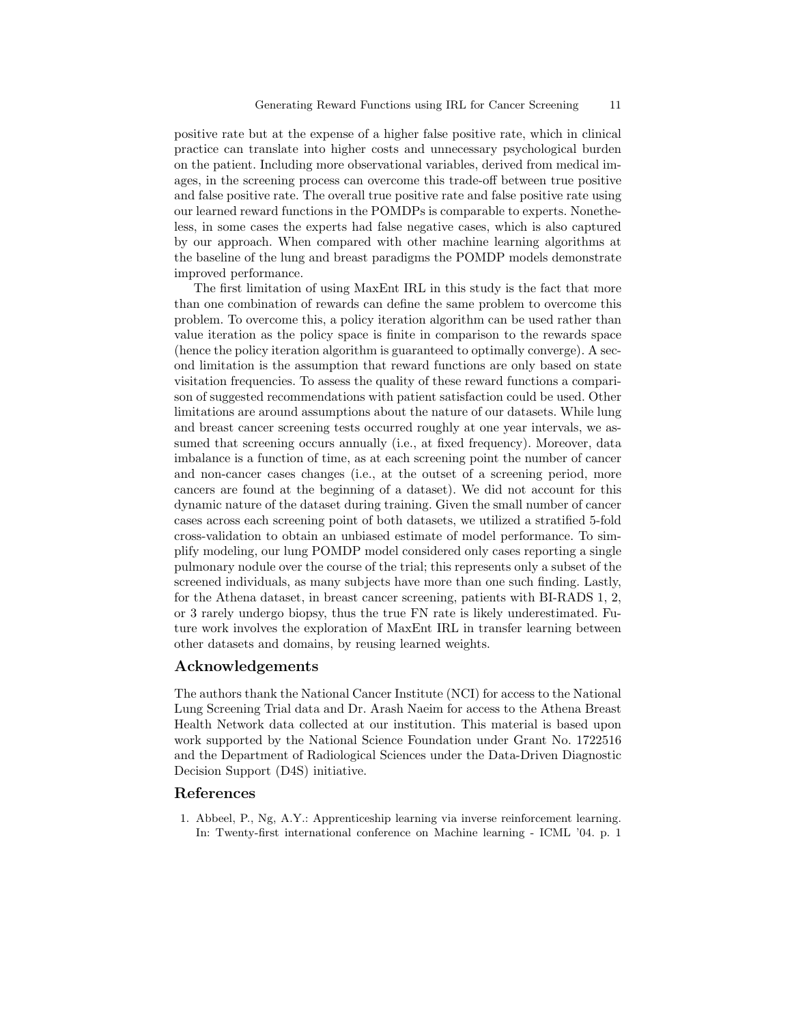positive rate but at the expense of a higher false positive rate, which in clinical practice can translate into higher costs and unnecessary psychological burden on the patient. Including more observational variables, derived from medical images, in the screening process can overcome this trade-off between true positive and false positive rate. The overall true positive rate and false positive rate using our learned reward functions in the POMDPs is comparable to experts. Nonetheless, in some cases the experts had false negative cases, which is also captured by our approach. When compared with other machine learning algorithms at the baseline of the lung and breast paradigms the POMDP models demonstrate improved performance.

The first limitation of using MaxEnt IRL in this study is the fact that more than one combination of rewards can define the same problem to overcome this problem. To overcome this, a policy iteration algorithm can be used rather than value iteration as the policy space is finite in comparison to the rewards space (hence the policy iteration algorithm is guaranteed to optimally converge). A second limitation is the assumption that reward functions are only based on state visitation frequencies. To assess the quality of these reward functions a comparison of suggested recommendations with patient satisfaction could be used. Other limitations are around assumptions about the nature of our datasets. While lung and breast cancer screening tests occurred roughly at one year intervals, we assumed that screening occurs annually (i.e., at fixed frequency). Moreover, data imbalance is a function of time, as at each screening point the number of cancer and non-cancer cases changes (i.e., at the outset of a screening period, more cancers are found at the beginning of a dataset). We did not account for this dynamic nature of the dataset during training. Given the small number of cancer cases across each screening point of both datasets, we utilized a stratified 5-fold cross-validation to obtain an unbiased estimate of model performance. To simplify modeling, our lung POMDP model considered only cases reporting a single pulmonary nodule over the course of the trial; this represents only a subset of the screened individuals, as many subjects have more than one such finding. Lastly, for the Athena dataset, in breast cancer screening, patients with BI-RADS 1, 2, or 3 rarely undergo biopsy, thus the true FN rate is likely underestimated. Future work involves the exploration of MaxEnt IRL in transfer learning between other datasets and domains, by reusing learned weights.

# Acknowledgements

The authors thank the National Cancer Institute (NCI) for access to the National Lung Screening Trial data and Dr. Arash Naeim for access to the Athena Breast Health Network data collected at our institution. This material is based upon work supported by the National Science Foundation under Grant No. 1722516 and the Department of Radiological Sciences under the Data-Driven Diagnostic Decision Support (D4S) initiative.

## References

<span id="page-10-0"></span>1. Abbeel, P., Ng, A.Y.: Apprenticeship learning via inverse reinforcement learning. In: Twenty-first international conference on Machine learning - ICML '04. p. 1